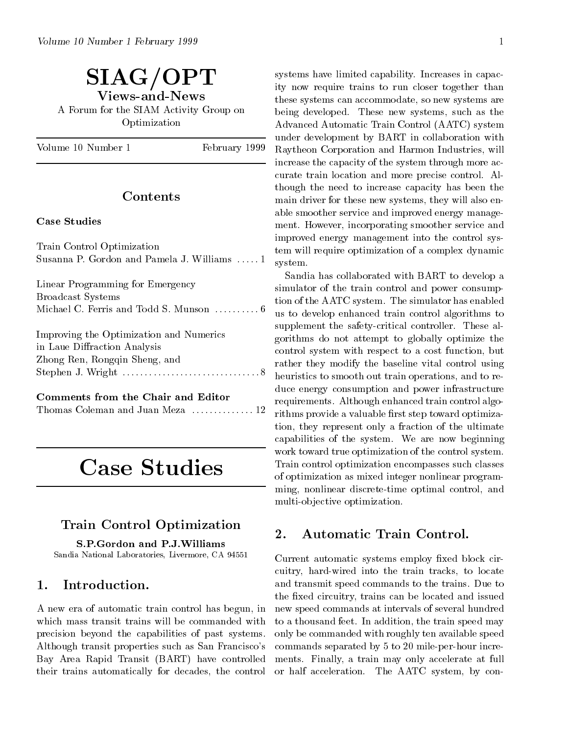# SIAG/OPT Views-and-News A Forum for the SIAM Activity Group on Optimization

Volume 10 Number 1

February 1999

# $\rm{Contents}$

### **Case Studies**

| Train Control Optimization<br>Susanna P. Gordon and Pamela J. Williams  1                                | improved energy memogement mas the control spe<br>tem will require optimization of a complex dynamic<br>system.                                                                                                                                                                 |
|----------------------------------------------------------------------------------------------------------|---------------------------------------------------------------------------------------------------------------------------------------------------------------------------------------------------------------------------------------------------------------------------------|
| Linear Programming for Emergency<br>Broadcast Systems<br>Michael C. Ferris and Todd S. Munson  6         | Sandia has collaborated with BART to develop a<br>simulator of the train control and power consump-<br>tion of the AATC system. The simulator has enabled<br>us to develop enhanced train control algorithms to                                                                 |
| Improving the Optimization and Numerics<br>in Laue Diffraction Analysis<br>Zhong Ren, Rongqin Sheng, and | supplement the safety-critical controller. These al-<br>gorithms do not attempt to globally optimize the<br>control system with respect to a cost function, but<br>rather they modify the baseline vital control using<br>heuristics to smooth out train operations, and to re- |

|--|--|--|--|--|--|--|--|--|

# Case Studies

# Train Control Optimization

S.P.Gordon and P.J.Williams Sandia National Laboratories, Livermore, CA 94551

#### Introduction. 1.

A new eraof automatic train control has begun, in which mass transit trains will be commanded with precision beyond the capabilities of past systems. Although transit properties such as San Francisco's Bay Area Rapid Transit (BART) have controlled their trains automatically for decades, the control systems have limited capability. Increases in capacity now require trains to run closer together than these systems can accommodate, so new systems are being developed. These new systems, such as the Advanced Automatic Train Control (AATC) system under development by BART in collaboration with Raytheon Corporation and Harmon Industries, will increase the capacity of the system through more accurate train location and more precise control. Although the need to increase capacity has been the main driver for these new systems, they will also enable smoother service and improved energy management. However, incorporating smoother service and improved energy management into the control system will require optimization of a complex dynamic

Thomas Coleman and Juan Meza . . . . . . . . . . . . . . 12 rithms provide a valuable rst step toward optimiza-Sandia has collaborated with BART to develop a simulator of the train control and power consumption of the AATC system. The simulator has enabled supplement the safety-critical controller. These algorithms do not attempt to globally optimize the control system with respect to a cost function, but rather they modify the baseline vital control using duce energy consumption and power infrastructure requirements. Although enhanced train control algotion, they represent only a fraction of the ultimate capabilities of the system. We are now beginning work toward true optimization of the control system. Train control optimization encompasses such classes of optimization as mixed integer nonlinear programming, nonlinear discrete-time optimal control, and multi-objective optimization.

Current automatic systems employ fixed block circuitry, hard-wired into the train tracks, to locate and transmit speed commands to the trains. Due to the fixed circuitry, trains can be located and issued new speed commands at intervals of several hundred to a thousand feet. In addition, the train speed may only be commanded with roughly ten available speed commands separated by 5 to 20 mile-per-hour increments. Finally, a train may only accelerate at full or half acceleration. The AATC system, by con-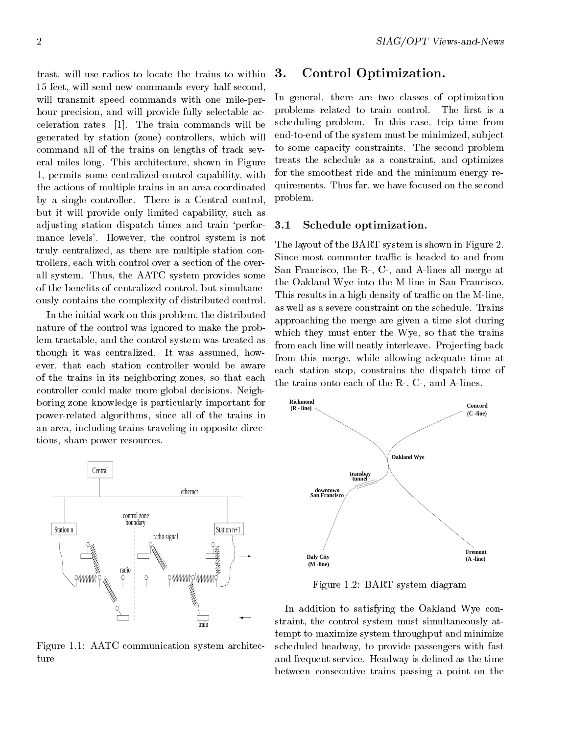trast, will use radios to locate the trains to within  $3$ . 15 feet, will send new commands every half second, will transmit speed commands with one mile-perhour precision, and will provide fully selectable acceleration rates [1]. The train commands will be generated by station (zone) controllers, which will command all of the trains on lengths of track several miles long. This architecture, shown in Figure 1, permits some centralized-control capability, with the actions of multiple trains in an area coordinated by a single controller. There is a Central control, but it will provide only limited capability, such as adjusting station dispatch times and train `performance levels'. However, the control system is not truly centralized, as there are multiple station controllers, each with control over a section of the overall system. Thus, the AATC system provides some of the benefits of centralized control, but simultaneously contains the complexity of distributed control.

In the initial work on this problem, the distributed nature of the control was ignored to make the problem tractable, and the control system was treated as though it was centralized. It was assumed, however, that each station controller would be aware of the trains in its neighboring zones, so that each controller could make more global decisions. Neighboring zone knowledge is particularly important for power-related algorithms, since all of the trains in an area, including trains traveling in opposite directions, share power resources.



Figure 1.1: AATC communication system architecture

# Control Optimization.

In general, there are two classes of optimization problems related to train control. The first is a scheduling problem. In this case, trip time from end-to-end of the system must be minimized, subject to some capacity constraints. The second problem treats the schedule as a constraint, and optimizes for the smoothest ride and the minimum energy requirements. Thus far, we have focused on the second problem.

#### 3.1 Schedule optimization.

The layout of the BART system is shown in Figure 2. Since most commuter traffic is headed to and from San Francisco, the R-, C-, and A-lines all merge at the Oakland Wye into the M-line in San Francisco. This results in a high density of traffic on the M-line, as well as a severe constraint on the schedule. Trains approaching the merge are given a time slot during which they must enter the Wye, so that the trains from each line will neatly interleave. Projecting back from this merge, while allowing adequate time at each station stop, constrains the dispatch time of the trains onto each of the R-, C-, and A-lines.



Figure 1.2: BART system diagram

In addition to satisfying the Oakland Wye constraint, the control system must simultaneously attempt to maximize system throughput and minimize scheduled headway, to provide passengers with fast and frequent service. Headway is defined as the time between consecutive trains passing a point on the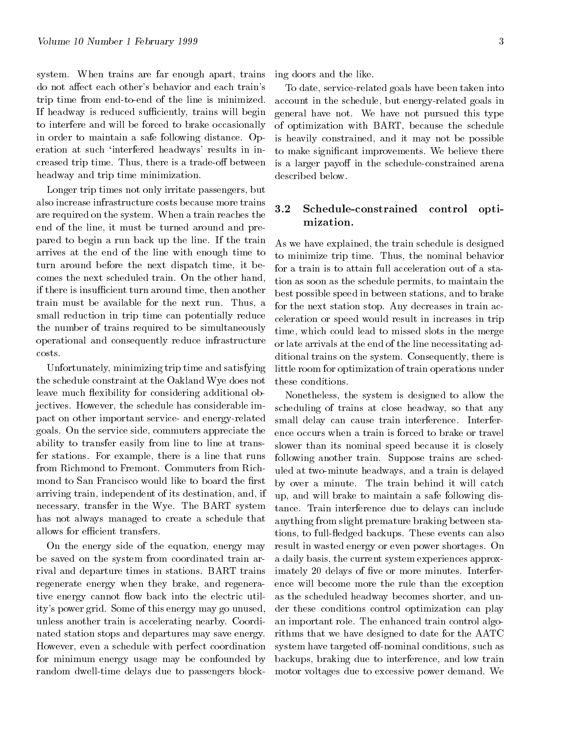system. When trains are far enough apart, trains do not affect each other's behavior and each train's trip time from end-to-end of the line is minimized. If headway is reduced sufficiently, trains will begin to interfere and will be forced to brake occasionally in order to maintain a safe following distance. Operation at such 'interfered headways' results in increased trip time. Thus, there is a trade-off between headway and trip time minimization.

Longer trip times not only irritate passengers, but also increase infrastructure costs because more trains are required on the system. When a train reaches the end of the line, it must be turned around and prepared to begin a run back up the line. If the train arrives at the end of the line with enough time to turn around before the next dispatch time, it becomes the next scheduled train. On the other hand, if there is insufficient turn around time, then another train must be available for the next run. Thus, a small reduction in trip time can potentially reduce the number of trains required to be simultaneously operational and consequently reduce infrastructure costs.

Unfortunately, minimizing trip time and satisfying the schedule constraint at the Oakland Wye does not leave much flexibility for considering additional objectives. However, the schedule has considerable impact on other important service- and energy-related goals. On the service side, commuters appreciate the ability to transfer easily from line to line at transfer stations. For example, there is a line that runs from Richmond to Fremont. Commuters from Richmond to San Francisco would like to board the first arriving train, independent of its destination, and, if necessary, transfer in the Wye. The BART system has not always managed to create a schedule that allows for efficient transfers.

On the energy side of the equation, energy may be saved on the system from coordinated train arrival and departure times in stations. BART trains regenerate energy when they brake, and regenerative energy cannot flow back into the electric utility's power grid. Some of this energy may go unused, unless another train is accelerating nearby. Coordinated station stops and departures may save energy. However, even a schedule with perfect coordination for minimum energy usage may be confounded by random dwell-time delays due to passengers blocking doors and the like.

To date, service-related goals have been taken into account in the schedule, but energy-related goals in general have not. We have not pursued this type of optimization with BART, because the schedule is heavily constrained, and it may not be possible to make signicant improvements. We believe there is a larger payoff in the schedule-constrained arena described below.

# Schedule-constrained control optimization.

As we have explained, the train schedule is designed to minimize trip time. Thus, the nominal behavior for a train is to attain full acceleration out of a station as soon as the schedule permits, to maintain the best possible speed in between stations, and to brake for the next station stop. Any decreases in train acceleration orspeed would result in increases in trip time, which could lead to missed slots in the merge or late arrivals at the end of the line necessitating additional trains on the system. Consequently, there is little room for optimization of train operations under these conditions.

Nonetheless, the system is designed to allow the scheduling of trains at close headway, so that any small delay can cause train interference. Interference occurs when a train is forced to brake or travel slower than its nominal speed because it is closely following another train. Suppose trains are scheduled at two-minute headways, and a train is delayed by over a minute. The train behind it will catch up, and will brake to maintain a safe following distance. Train interference due to delays can include anything from slight premature braking between stations, to fulledged backups. These events can also result in wasted energy or even power shortages. On a daily basis, the current system experiences approximately 20 delays of five or more minutes. Interference will become more the rule than the exception as the scheduled headway becomes shorter, and under these conditions control optimization can play an important role. The enhanced train control algorithms that we have designed to date for the AATC system have targeted off-nominal conditions, such as backups, braking due to interference, and low train motor voltages due to excessive power demand. We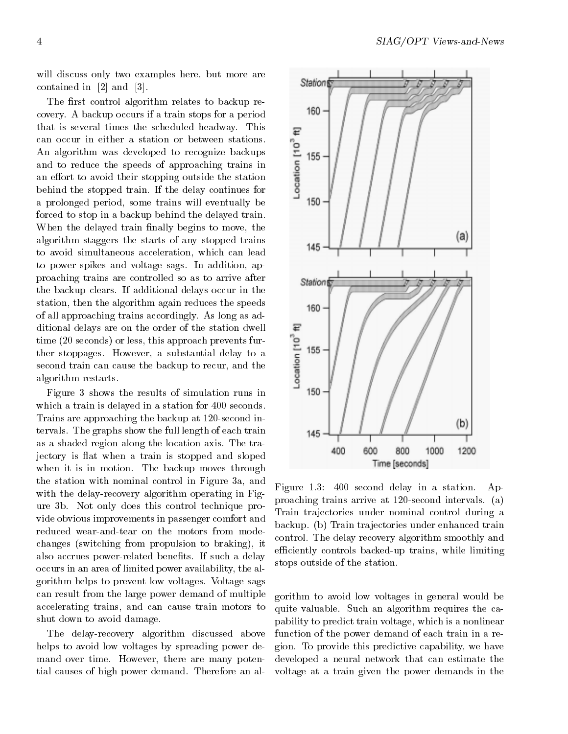will discuss only two examples here, but more are contained in [2] and [3].

The first control algorithm relates to backup recovery. A backup occurs if a train stops for a period that is several times the scheduled headway. This<br>can occur in either a station or between stations.<br>An algorithm was developed to recognize backups<br>and to reduce the speeds of approaching trains in<br>an effort to avoid thei can occur in either a station or between stations. An algorithm was developed to recognize backups and to reduce the speeds of approaching trains in an effort to avoid their stopping outside the station behind the stopped train. If the delay continues for a prolonged period, some trains will eventually be forced to stop in a backup behind the delayed train. When the delayed train finally begins to move, the algorithm staggers the starts of any stopped trains to avoid simultaneous acceleration, which can lead to power spikes and voltage sags. In addition, approaching trains are controlled so as to arrive after the backup clears. If additional delays occur in the station, then the algorithm again reduces the speeds of all approaching trains accordingly. As long as additional delays are on the order of the station dwell time (20 seconds) or less, this approach prevents furditional delays are on the order of the station dwell<br>time (20 seconds) or less, this approach prevents fur-<br>ther stoppages. However, a substantial delay to a<br>second train can cause the backup to recur, and the<br>algorithm second train can cause the backup to recur, and the algorithm restarts.

Figure 3 shows the results of simulation runs in which a train is delayed in a station for 400 seconds. Trains are approaching the backup at 120-second intervals. The graphs show the full length of each train as a shaded region along the location axis. The trajectory is flat when a train is stopped and sloped when it is in motion. The backup moves through the station with nominal control in Figure 3a, and with the delay-recovery algorithm operating in Figure 3b. Not only does this control technique provide obvious improvements in passenger comfort and reduced wear-and-tear on the motors from modechanges (switching from propulsion to braking), it also accrues power-related benefits. If such a delay occurs in an area of limited power availability, the algorithm helps to prevent low voltages. Voltage sags can result from the large power demand of multiple accelerating trains, and can cause train motors to shut down to avoid damage.

The delay-recovery algorithm discussed above helps to avoid low voltages by spreading power demand over time. However, there are many potential causes of high power demand. Therefore an al-



Figure 1.3: 400 second delay in a station. Approaching trains arrive at 120-second intervals. (a) Train trajectories under nominal control during a backup. (b) Train trajectories under enhanced train control. The delay recovery algorithm smoothly and efficiently controls backed-up trains, while limiting stops outside of the station.

gorithm to avoid low voltages in general would be quite valuable. Such an algorithm requires the capability to predict train voltage, which is a nonlinear function of the power demand of each train in a region. To provide this predictive capability, we have developed a neural network that can estimate the voltage at a train given the power demands in the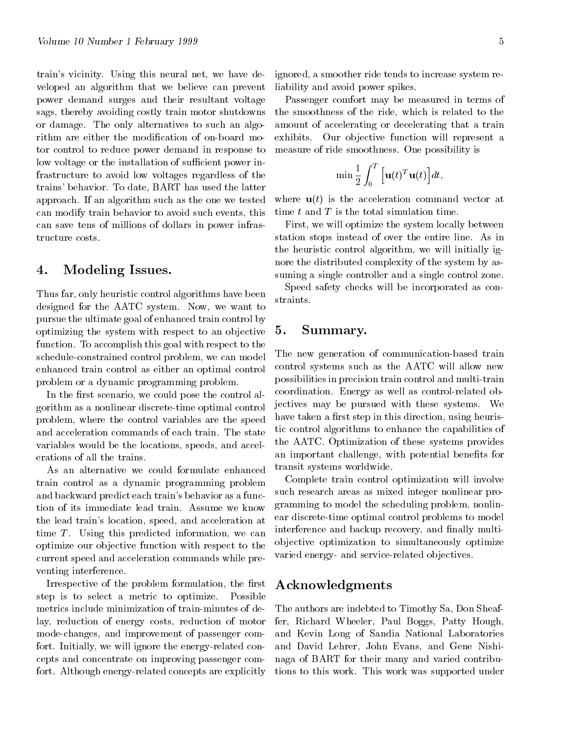train's vicinity. Using this neural net, we have developed an algorithm that we believe can prevent power demand surges and their resultant voltage sags, thereby avoiding costly train motor shutdowns or damage. The only alternatives to such an algorithm are either the modification of on-board motor control to reduce power demand in response to low voltage or the installation of sufficient power infrastructure to avoid low voltages regardless of the trains' behavior. To date, BART has used the latter approach. If an algorithm such as the one we tested can modify train behavior to avoid such events, this can save tens of millions of dollars in power infrastructure costs.

# 4. Modeling Issues.

Thus far, only heuristic control algorithms have been designed for the AATC system. Now, we want to pursue the ultimate goal of enhanced train control by optimizing the system with respect to an objective function. To accomplish this goal with respect to the schedule-constrained control problem, we can model enhanced train control as either an optimal control problem or a dynamic programming problem.

In the first scenario, we could pose the control algorithm as a nonlinear discrete-time optimal control problem, where the control variables are the speed and acceleration commands of each train. The state variables would be the locations, speeds, and accelerations of all the trains.

As an alternative we could formulate enhanced train control as a dynamic programming problem and backward predict each train's behavior as a function of its immediate lead train. Assume we know the lead train's location, speed, and acceleration at time  $T$ . Using this predicted information, we can optimize our objective function with respect to the current speed and acceleration commands while preventing interference.

Irrespective of the problem formulation, the first step is to select a metric to optimize. Possible metrics include minimization of train-minutes of delay, reduction of energy costs, reduction of motor mode-changes, and improvement of passenger comfort. Initially, we will ignore the energy-related concepts and concentrate on improving passenger comfort. Although energy-related concepts are explicitly ignored, a smoother ride tends to increase system reliability and avoid power spikes.

Passenger comfort may be measured in terms of the smoothness of the ride, which is related to the amount of accelerating or decelerating that a train exhibits. Our objective function will represent a measure of ride smoothness. One possibility is

$$
\min \frac{1}{2} \int_0^T \Big[\mathbf{u}(t)^T \mathbf{u}(t)\Big] dt,
$$

where  $\mathbf{u}(t)$  is the acceleration command vector at time  $t$  and  $T$  is the total simulation time.

First, we will optimize the system locally between station stops instead of over the entire line. As in the heuristic control algorithm, we will initially ignore the distributed complexity of the system by assuming a single controller and a single control zone.

Speed safety checks will be incorporated as constraints.

# 5. Summary.

The new generation of communication-based train control systems such as the AATC will allow new possibilities in precision train control and multi-train coordination. Energy as well as control-related objectives may be pursued with these systems. We have taken a first step in this direction, using heuristic control algorithms to enhance the capabilities of the AATC. Optimization of these systems provides an important challenge, with potential benefits for transit systems worldwide.

Complete train control optimization will involve such research areas as mixed integer nonlinear programming to model the scheduling problem, nonlinear discrete-time optimal control problems to model interference and backup recovery, and finally multiob jective optimization to simultaneously optimize varied energy- and service-related objectives.

# Acknowledgments

The authors are indebted to Timothy Sa, Don Sheaffer, Richard Wheeler, Paul Boggs, Patty Hough, and Kevin Long of Sandia National Laboratories and David Lehrer, John Evans, and Gene Nishinaga of BART for their many and varied contributions to this work. This work was supported under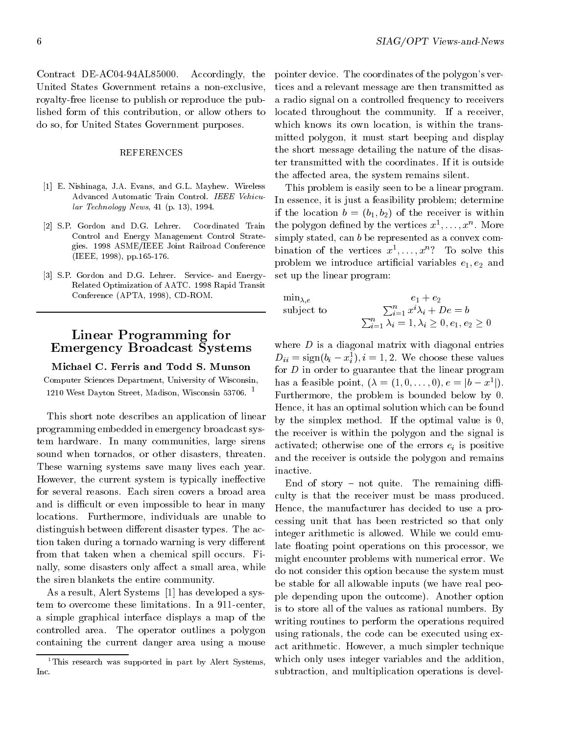Contract DE-AC04-94AL85000. Accordingly, the United States Government retains a non-exclusive, royalty-free license to publish or reproduce the published form of this contribution, or allow others to do so, for United States Government purposes.

#### REFERENCES

- [1] E. Nishinaga, J.A. Evans, and G.L. Mayhew. Wireless Advanced Automatic Train Control. IEEE Vehicular Technology News, 41 (p. 13), 1994.
- [2] S.P. Gordon and D.G. Lehrer. Coordinated Train Control and Energy Management Control Strategies. 1998 ASME/IEEE Joint Railroad Conference (IEEE, 1998), pp.165-176.
- [3] S.P. Gordon and D.G. Lehrer. Service- and Energy-Related Optimization of AATC. 1998 Rapid Transit Conference (APTA, 1998), CD-ROM.

# Linear Programming for Emergency Broadcast Systems

Michael C. Ferris and Todd S. Munson Computer Sciences Department, University of Wisconsin, 1210 West Dayton Street, Madison, Wisconsin 53706. <sup>1</sup>

This short note describes an application of linear programming embedded in emergency broadcast system hardware. In many communities, large sirens sound when tornados, or other disasters, threaten. These warning systems save many lives each year. However, the current system is typically ineffective for several reasons. Each siren covers a broad area and is difficult or even impossible to hear in many locations. Furthermore, individuals are unable to distinguish between different disaster types. The action taken during a tornado warning is very different from that taken when a chemical spill occurs. Finally, some disasters only affect a small area, while the siren blankets the entire community.

As a result, Alert Systems [1] has developed a system to overcome these limitations. In a 911-center, a simple graphical interface displays a map of the controlled area. The operator outlines a polygon containing the current danger area using a mouse pointer device. The coordinates of the polygon's vertices and a relevant message are then transmitted as a radio signal on a controlled frequency to receivers located throughout the community. If a receiver, which knows its own location, is within the transmitted polygon, it must start beeping and display the short message detailing the nature of the disaster transmitted with the coordinates. If it is outside the affected area, the system remains silent.

This problem is easily seen to be a linear program. In essence, it is just a feasibility problem; determine if the location  $b = (b_1, b_2)$  of the receiver is within the polygon defined by the vertices  $x^1, \ldots, x^n$ . More simply stated, can b be represented as a convex combination of the vertices  $x^*,\ldots,x^*$ : To solve this problem we introduce artificial variables  $e_1, e_2$  and set up the linear program:

subject to  $\sum_{i=1}^{n} \lambda_i^i = 1, \lambda_i \geq 0, e_1, e_2 \geq 0$ 

inactive.

where  $D$  is a diagonal matrix with diagonal entries  $D_{ii}$  = sign( $v_i - x_i$ ),  $i = 1, 2$ . We choose these values for  $D$  in order to guarantee that the linear program has a feasible point,  $(\lambda = (1, 0, \ldots, 0), e = |b - x^1|)$ . Furthermore, the problem is bounded below by 0. Hence, it has an optimal solution which can be found by the simplex method. If the optimal value is 0, the receiver is within the polygon and the signal is activated; otherwise one of the errors  $e_i$  is positive and the receiver is outside the polygon and remains

End of story  $-$  not quite. The remaining difficulty is that the receiver must be mass produced. Hence, the manufacturer has decided to use a processing unit that has been restricted so that only integer arithmetic is allowed. While we could emulate floating point operations on this processor, we might encounter problems with numerical error. We do not consider this option because the system must be stable for all allowable inputs (we have real people depending upon the outcome). Another option is to store all of the values as rational numbers. By writing routines to perform the operations required using rationals, the code can be executed using exact arithmetic. However, a much simpler technique which only uses integer variables and the addition, subtraction, and multiplication operations is devel-

<sup>&</sup>lt;sup>1</sup>This research was supported in part by Alert Systems, Inc.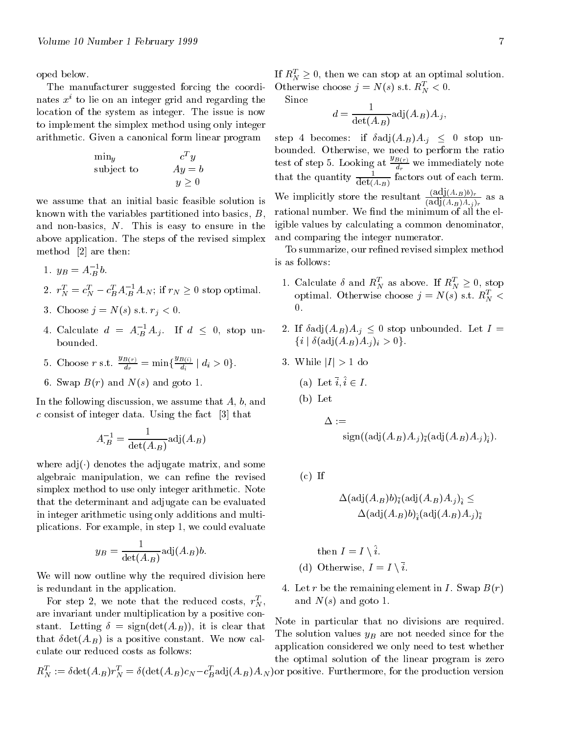oped below.

The manufacturer suggested forcing the coordinates  $x^i$  to lie on an integer grid and regarding the location of the system as integer. The issue is now to implement the simplex method using only integer arithmetic. Given a canonical form linear program

$$
\begin{array}{ll}\n\min_y & c^T y \\
\text{subject to} & Ay = b \\
y \ge 0\n\end{array}
$$

we assume that an initial basic feasible solution is known with the variables partitioned into basics, B, and non-basics, N. This is easy to ensure in the above application. The steps of the revised simplex method [2] are then:

1. 
$$
y_B = A_B^{-1}b
$$
.

2.  $r_N^t = c_N^t - c_B^t A_B^{-1} A_N$ ; if  $r_N \geq 0$  stop optimal.

- 3. Choose  $j = N(s)$  s.t.  $r_j < 0$ .
- 4. Calculate  $d = A_{B}^{-1}A_{j}$ . If  $d \leq 0$ , stop un- 2
- 5. Choose r s.t.  $\frac{g_{B(r)}}{d_r} = \min\{\frac{g_{B(i)}}{d_i} \mid d_i > 0\}.$
- 6. Swap  $B(r)$  and  $N(s)$  and goto 1.

In the following discussion, we assume that A, b, and c consist of integer data. Using the fact [3] that

$$
A_B^{-1} = \frac{1}{\det(A_{\cdot B})} \text{adj}(A_{\cdot B})
$$

where  $adj(\cdot)$  denotes the adjugate matrix, and some algebraic manipulation, we can refine the revised simplex method to use only integer arithmetic. Note that the determinant and adjugate can be evaluated in integer arithmetic using only additions and multiplications. For example, in step 1, we could evaluate

$$
y_B = \frac{1}{\det(A_{\cdot B})} \text{adj}(A_{\cdot B}) b.
$$

We will now outline why the required division here is redundant in the application.

For step 2, we note that the reduced costs,  $r_N$ , and are invariant under multiplication by a positive constant. Letting  $\delta = \text{sign}(\det(A_B))$ , it is clear that that  $\delta \det(A_B)$  is a positive constant. We now calculate our reduced costs as follows:

$$
R_N^T := \delta \det(A_B) r_N^T = \delta \left( \det(A_B) c_N - c_B^T \operatorname{adj}(A_B) A_N \right)
$$

If  $R_N^2 \geq 0$ , then we can stop at an optimal solution. Otherwise choose  $j = N(s)$  s.t.  $R_N < 0$ .

Since

$$
d = \frac{1}{\det(A_{\cdot B})} \text{adj}(A_{\cdot B}) A_{\cdot j},
$$

step 4 becomes: if  $\delta adj(A_B)A_j \leq 0$  stop unbounded. Otherwise, we need to perform the ratio test of step 5. Looking at  $\frac{\partial B(r)}{\partial r}$  we immediately note that the quantity  $\frac{dE(A,B)}{det(A,B)}$  factors out of each term. We implicitly store the resultant  $\frac{\overline{(adj}(A_B)A_j)}{\overline{(adj}(A_B)A_j)_r}$  as a rational number. We find the minimum of all the eligible values by calculating a common denominator, and comparing the integer numerator.

To summarize, our refined revised simplex method

- 1. Calculate  $\delta$  and  $R_N^T$  as above. If  $R_N^T \geq 0$ , stop optimal. Otherwise choose  $j = N(s)$  s.t.  $R_N$  <
- 2. If  $\delta$ adj $(A_B)A_j \leq 0$  stop unbounded. Let  $I =$  $\{i \mid \delta(\text{adj}(A_B)A_{ij})_i > 0\}.$
- 3. While  $|I| > 1$  do
	- (a) Let  $\bar{i}, \hat{i} \in I$ .
	- (b) Let

$$
\Delta := \\ \text{sign}((\text{adj}(A_{\cdot B})A_{\cdot j})_{\bar{\imath}}(\text{adj}(A_{\cdot B})A_{\cdot j})_{\hat{\imath}}).
$$

 $(c)$  If

$$
\Delta({\rm adj}(A_{\cdot B})b)_{\bar i}({\rm adj}(A_{\cdot B})A_{\cdot j})_{\hat i}\le \\ \Delta({\rm adj}(A_{\cdot B})b)_{\hat i}({\rm adj}(A_{\cdot B})A_{\cdot j})_{\bar i}
$$

then  $I = I \setminus \hat{i}$ . (d) Otherwise,  $I = I \setminus \overline{i}$ .

4. Let r be the remaining element in I. Swap  $B(r)$ and  $N(s)$  and goto 1.

Note in particular that no divisions are required. The solution values  $y_B$  are not needed since for the application considered we only need to test whether the optimal solution of the linear program is zero

 $D$  and (AB) and ): for positive  $\mathbf{r}$  , for the production version  $\mathbf{r}$  and  $\mathbf{r}$  and  $\mathbf{r}$  and  $\mathbf{r}$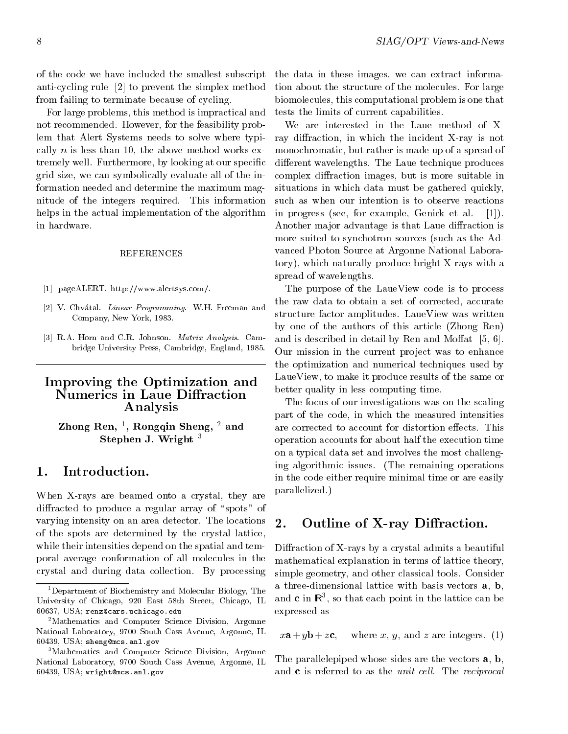of the code we have included the smallest subscript anti-cycling rule [2] to prevent the simplex method from failing to terminate because of cycling.

For large problems, this method is impractical and not recommended. However, for the feasibility problem that Alert Systems needs to solve where typically  $n$  is less than 10, the above method works extremely well. Furthermore, by looking at our specic grid size, we can symbolically evaluate all of the information needed and determine the maximum magnitude of the integers required. This information helps in the actual implementation of the algorithm in hardware.

#### REFERENCES

- [1] pageALERT. http://www.alertsys.com/.
- [2] V. Chvátal. *Linear Programming*. W.H. Freeman and Company, New York, 1983.
- [3] R.A. Horn and C.R. Johnson. Matrix Analysis. Cambridge University Press, Cambridge, England, 1985.

# Improving the Optimization and Numerics in Laue Diffraction Analysis

Zhong Ren, <sup>1</sup> , Rongqin Sheng, <sup>2</sup> and stephen J. W. Wrights

### 1. Introduction.

When X-rays are beamed onto a crystal, they are diffracted to produce a regular array of "spots" of varying intensity on an area detector. The locations 2. of the spots are determined by the crystal lattice, while their intensities depend on the spatial and temporal average conformation of all molecules in the crystal and during data collection. By processing

the data in these images, we can extract information about the structure of the molecules. For large biomolecules, this computational problem is one that tests the limits of current capabilities.

We are interested in the Laue method of Xray diffraction, in which the incident X-ray is not monochromatic, but rather is made up of a spread of different wavelengths. The Laue technique produces complex diffraction images, but is more suitable in situations in which data must be gathered quickly, such as when our intention is to observe reactions in progress (see, for example, Genick et al. [1]). Another major advantage is that Laue diffraction is more suited to synchotron sources (such as the Advanced Photon Source at Argonne National Laboratory), which naturally produce bright X-rays with a spread of wavelengths.

The purpose of the LaueView code is to process the raw data to obtain a set of corrected, accurate structure factor amplitudes. LaueView was written by one of the authors of this article (Zhong Ren) and is described in detail by Ren and Moffat  $[5, 6]$ . Our mission in the current project was to enhance the optimization and numerical techniques used by LaueView, to make it produce results of the same or better quality in less computing time.

The focus of our investigations was on the scaling part of the code, in which the measured intensities are corrected to account for distortion effects. This operation accounts for about half the execution time on a typical data set and involves the most challenging algorithmic issues. (The remaining operations in the code either require minimal time or are easily parallelized.)

# Outline of X-ray Diffraction.

Diffraction of X-rays by a crystal admits a beautiful mathematical explanation in terms of lattice theory, simple geometry, and other classical tools. Consider a three-dimensional lattice with basis vectors a, b, and  $\mathbf c$  in  $\mathbf K$  , so that each point in the lattice can be expressed as

where x, y, and z are integers. (1)

The parallelepiped whose sides are the vectors **a**, **b**, and  $c$  is referred to as the *unit cell*. The *reciprocal* 

<sup>&</sup>lt;sup>1</sup>Department of Biochemistry and Molecular Biology, The University of Chicago, 920 East 58th Street, Chicago, IL 60637, USA; renz@cars.uchicago.edu

<sup>&</sup>lt;sup>2</sup>Mathematics and Computer Science Division, Argonne National Laboratory, 9700 South Cass Avenue, Argonne, IL  $x\mathbf{a} + y\mathbf{b} + z\mathbf{c}$ , 60439, USA; sheng@mcs.anl.gov

<sup>&</sup>lt;sup>3</sup>Mathematics and Computer Science Division, Argonne National Laboratory, 9700 South Cass Avenue, Argonne, IL 60439, USA; wright@mcs.anl.gov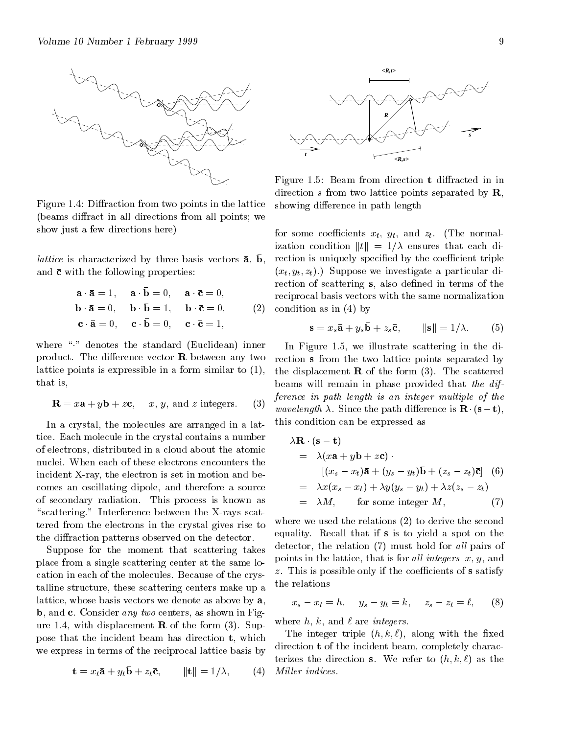

Figure 1.4: Diffraction from two points in the lattice (beams diffract in all directions from all points; we show just a few directions here)

*lattice* is characterized by three basis vectors  $\boldsymbol{a}$ ,  $\boldsymbol{b}$ , rection and  $\bar{c}$  with the following properties:

$$
\mathbf{a} \cdot \bar{\mathbf{a}} = 1, \quad \mathbf{a} \cdot \mathbf{b} = 0, \quad \mathbf{a} \cdot \bar{\mathbf{c}} = 0, \quad \text{recip}
$$
  
\n
$$
\mathbf{b} \cdot \bar{\mathbf{a}} = 0, \quad \mathbf{b} \cdot \bar{\mathbf{b}} = 1, \quad \mathbf{b} \cdot \bar{\mathbf{c}} = 0, \quad (2) \quad \text{conc}
$$
  
\n
$$
\mathbf{c} \cdot \bar{\mathbf{a}} = 0, \quad \mathbf{c} \cdot \bar{\mathbf{b}} = 0, \quad \mathbf{c} \cdot \bar{\mathbf{c}} = 1,
$$

where "." denotes the standard (Euclidean) inner product. The difference vector  $\bf{R}$  between any two lattice points is expressible in a form similar to (1), that is,

$$
\mathbf{R} = x\mathbf{a} + y\mathbf{b} + z\mathbf{c}
$$
, *x*, *y*, and *z* integers. (3)

In a crystal, the molecules are arranged in a lattice. Each molecule in the crystal contains a number of electrons, distributed in a cloud about the atomic nuclei. When each of these electrons encounters the incident X-ray, the electron is set in motion and becomes an oscillating dipole, and therefore a source of secondary radiation. This process is known as "scattering." Interference between the X-rays scattered from the electrons in the crystal gives rise to the diffraction patterns observed on the detector.

Suppose for the moment that scattering takes place from a single scattering center at the same location in each of the molecules. Because of the crystalline structure, these scattering centers make up a lattice, whose basis vectors we denote as above by a, b, and c. Consider any two centers, as shown in Figure 1.4, with displacement  $\bf{R}$  of the form (3). Suppose that the incident beam has direction t, which we express in terms of the reciprocal lattice basis by

$$
\mathbf{t} = x_t \bar{\mathbf{a}} + y_t \bar{\mathbf{b}} + z_t \bar{\mathbf{c}}, \qquad \|\mathbf{t}\| = 1/\lambda, \qquad (4) \quad Mill
$$



Figure 1.5: Beam from direction **t** diffracted in in direction s from two lattice points separated by  $\mathbf{R}$ , showing difference in path length

for some coefficients  $x_t$ ,  $y_t$ , and  $z_t$ . (The normalization condition  $||t|| = 1/\lambda$  ensures that each direction is uniquely specified by the coefficient triple  $(x_t, y_t, z_t)$ .) Suppose we investigate a particular direction of scattering s, also defined in terms of the reciprocal basis vectors with the same normalization condition as in (4) by

$$
\mathbf{s} = x_s \mathbf{\bar{a}} + y_s \mathbf{b} + z_s \mathbf{\bar{c}}, \qquad \|\mathbf{s}\| = 1/\lambda. \qquad (5)
$$

In Figure 1.5, we illustrate scattering in the direction <sup>s</sup> from the two lattice points separated by the displacement  $\bf{R}$  of the form (3). The scattered beams will remain in phase provided that the difference in path length is an integer multiple of the *wavelength*  $\lambda$ . Since the path difference is  $\mathbf{R} \cdot (\mathbf{s} - \mathbf{t})$ , this condition can be expressed as

$$
\lambda \mathbf{R} \cdot (\mathbf{s} - \mathbf{t})
$$
\n
$$
= \lambda (x\mathbf{a} + y\mathbf{b} + z\mathbf{c}) \cdot \left[ (x_s - x_t)\bar{\mathbf{a}} + (y_s - y_t)\bar{\mathbf{b}} + (z_s - z_t)\bar{\mathbf{c}} \right] (6)
$$
\n
$$
= \lambda x (x_s - x_t) + \lambda y (y_s - y_t) + \lambda z (z_s - z_t)
$$
\n
$$
= \lambda M, \quad \text{for some integer } M, \quad (7)
$$

where we used the relations (2) to derive the second equality. Recall that if <sup>s</sup> is to yield a spot on the detector, the relation  $(7)$  must hold for all pairs of points in the lattice, that is for all integers  $x, y$ , and  $z$ . This is possible only if the coefficients of s satisfy the relations

$$
x_s - x_t = h, \quad y_s - y_t = k, \quad z_s - z_t = \ell, \quad (8)
$$

where  $h, k,$  and  $\ell$  are integers.

The integer triple  $(h, k, \ell)$ , along with the fixed direction <sup>t</sup> of the incident beam, completely characterizes the direction s. We refer to  $(h, k, \ell)$  as the Miller indices.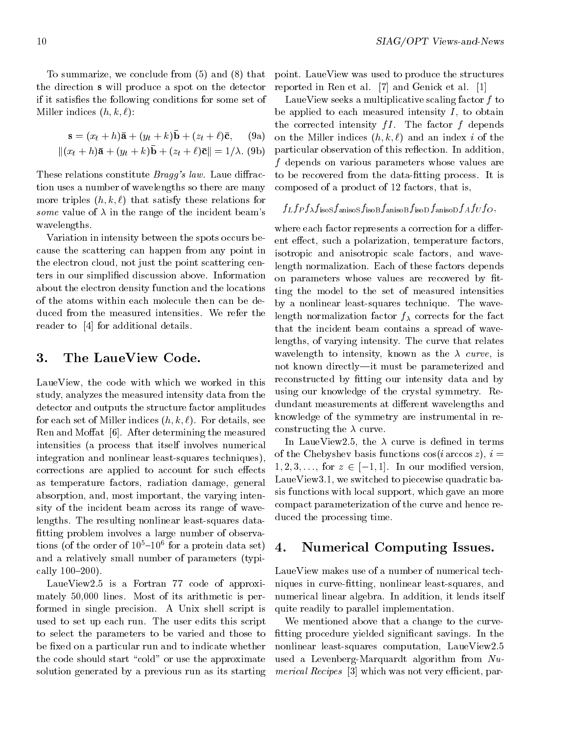To summarize, we conclude from (5) and (8) that the direction swill produce a spot on the detector if it satises the following conditions for some set of Miller indices  $(h, k, \ell)$ :

$$
\mathbf{s} = (x_t + h)\mathbf{\bar{a}} + (y_t + k)\mathbf{\bar{b}} + (z_t + \ell)\mathbf{\bar{c}}, \quad \text{(9a)} \quad \text{on } t
$$

$$
\|(x_t + h)\bar{\mathbf{a}} + (y_t + k)\mathbf{b} + (z_t + \ell)\bar{\mathbf{c}}\| = 1/\lambda. \text{ (9b)} \quad \text{part.}
$$

These relations constitute  $Bragg's law$ . Laue diffraction uses a number of wavelengths so there are many more triples  $(h, k, \ell)$  that satisfy these relations for some value of  $\lambda$  in the range of the incident beam's  $J^L$ . wavelengths.

Variation in intensity between the spots occurs because the scattering can happen from any point in the electron cloud, not just the point scattering centers in our simplied discussion above. Information about the electron density function and the locations of the atoms within each molecule then can be deduced from the measured intensities. We refer the reader to [4] for additional details.

# 3. The LaueView Code.

LaueView, the code with which we worked in this study, analyzes the measured intensity data from the detector and outputs the structure factor amplitudes for each set of Miller indices  $(h, k, \ell)$ . For details, see Ren and Moffat  $[6]$ . After determining the measured intensities (a process that itself involves numerical integration and nonlinear least-squares techniques), corrections are applied to account for such effects as temperature factors, radiation damage, general absorption, and, most important, the varying intensity of the incident beam across its range of wavelengths. The resulting nonlinear least-squares data fitting problem involves a large number of observations (of the order of  $10^{\circ}$  -10 $^{\circ}$  for a protein data set)  $\Lambda$ and a relatively small number of parameters (typically  $100 - 200$ ).

LaueView2.5 is a Fortran 77 code of approximately 50,000 lines. Most of its arithmetic is performed in single precision. A Unix shell script is used to set up each run. The user edits this script to select the parameters to be varied and those to be fixed on a particular run and to indicate whether the code should start "cold" or use the approximate solution generated by a previous run as its starting

point. LaueView was used to produce the structures reported in Ren et al. [7] and Genick et al. [1]

LaueView seeks a multiplicative scaling factor f to be applied to each measured intensity  $I$ , to obtain the corrected intensity  $fI$ . The factor f depends on the Miller indices  $(h, k, \ell)$  and an index i of the particular observation of this reflection. In addition, f depends on various parameters whose values are to be recovered from the data-fitting process. It is composed of a product of 12 factors, that is,

# $f_Lf_Pf_\lambda f_\mathrm{isoS}f_\mathrm{anisoS}f_\mathrm{isoB}f_\mathrm{anisoB}f_\mathrm{isoD}f_\mathrm{anisoD}f_Af_Uf_O,$

where each factor represents a correction for a different effect, such a polarization, temperature factors, isotropic and anisotropic scale factors, and wavelength normalization. Each of these factors depends on parameters whose values are recovered by fitting the model to the set of measured intensities by a nonlinear least-squares technique. The wavelength normalization factor  $f_{\lambda}$  corrects for the fact that the incident beam contains a spread of wavelengths, of varying intensity. The curve that relates wavelength to intensity, known as the  $\lambda$  curve, is not known directly-it must be parameterized and reconstructed by fitting our intensity data and by using our knowledge of the crystal symmetry. Redundant measurements at different wavelengths and knowledge of the symmetry are instrumental in reconstructing the  $\lambda$  curve.

In LaueView2.5, the  $\lambda$  curve is defined in terms of the Chebyshev basis functions  $\cos(i \arccos z)$ ,  $i =$  $1, 2, 3, \ldots$ , for  $z \in [-1, 1]$ . In our modified version, LaueView3.1, we switched to piecewise quadratic basis functions with local support, which gave an more compact parameterization of the curve and hence reduced the processing time.

# 4. Numerical Computing Issues.

LaueView makes use of a number of numerical techniques in curve-fitting, nonlinear least-squares, and numerical linear algebra. In addition, it lends itself quite readily to parallel implementation.

We mentioned above that a change to the curve fitting procedure yielded significant savings. In the nonlinear least-squares computation, LaueView2.5 used a Levenberg-Marquardt algorithm from Nu $m$ erical Recipes [3] which was not very emergin, par-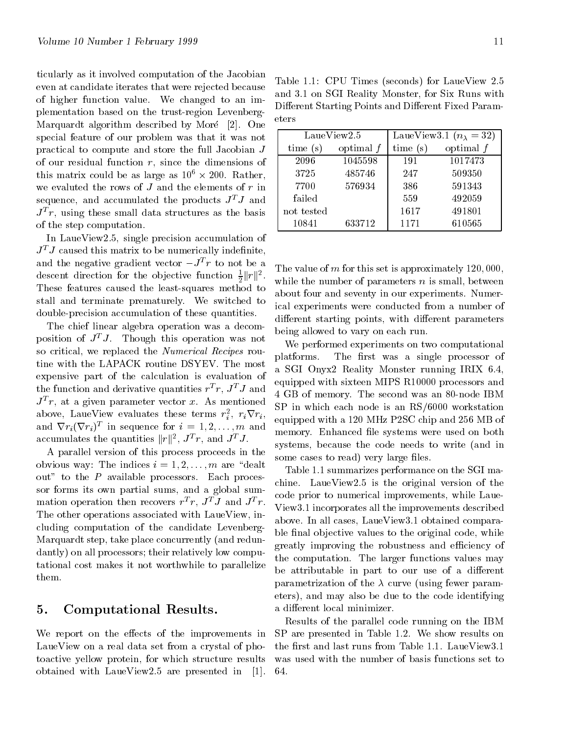ticularly as it involved computation of the Jacobian even at candidate iterates that were rejected because of higher function value. We changed to an implementation based on the trust-region Levenberg-Marquardt algorithm described by Moré [2]. One special feature of our problem was that it was not practical to compute and store the full Jacobian J of our residual function  $r$ , since the dimensions of this matrix could be as large as  $10^{\circ} \times 200$ . Rather,  $\Box$ we evaluted the rows of  $J$  and the elements of  $r$  in sequence, and accumulated the products  $J^TJ$  and  $J^+T$ , using these small data structures as the basis  $\pm$  10 of the step computation.

In LaueView2.5, single precision accumulation of  $J<sup>T</sup>J$  caused this matrix to be numerically indefinite, and the negative gradient vector  $-J^+r$  to not be a  $_{\text{min}}$ descent direction for the objective function  $\frac{1}{2} ||r||^2$ . These features caused the least-squares method to stall and terminate prematurely. We switched to double-precision accumulation of these quantities.

The chief linear algebra operation was a decomposition of  $J^T J$ . Though this operation was not so critical, we replaced the Numerical Recipes routine with the LAPACK routine DSYEV. The most expensive part of the calculation is evaluation of the function and derivative quantities  $r^2 r$ ,  $J^2 J$  and  $\bar{J}$  and  $J$   $r$ , at a given parameter vector x. As inentioned  $\sigma_{\rm CD}$ . above, LaueView evaluates these terms  $r_i^2$ ,  $r_i \nabla r_i$ ,  $\sum_{\alpha \in \mathbb{Z}} r_i$ and  $\nabla r_i(\nabla r_i)^T$  in sequence for  $i = 1, 2, \ldots, m$  and  $\frac{1}{n}$ accumulates the quantities  $||r||^2$ ,  $J^T r$ , and  $J^T J$ .

A parallel version of this process proceeds in the obvious way: The indices  $i = 1, 2, \ldots, m$  are "dealt" out" to the  $P$  available processors. Each processor forms its own partial sums, and a global summation operation then recovers  $r^2 r$ ,  $J^2 J$  and  $J^2 r$ . The other operations associated with LaueView, including computation of the candidate Levenberg-Marquardt step, take place concurrently (and redundantly) on all processors; their relatively low computational cost makes it not worthwhile to parallelize them.

### 5. Computational Results.

We report on the effects of the improvements in LaueView on a real data set from a crystal of photoactive yellow protein, for which structure results obtained with LaueView2.5 are presented in [1].

Table 1.1: CPU Times (seconds) for LaueView 2.5 and 3.1 on SGI Reality Monster, for Six Runs with Different Starting Points and Different Fixed Parameters

| LaueView2.5 |             | LaueView3.1 $(n_{\lambda} = 32)$ |             |
|-------------|-------------|----------------------------------|-------------|
| time(s)     | optimal $f$ | time(s)                          | optimal $f$ |
| 2096        | 1045598     | 191                              | 1017473     |
| 3725        | 485746      | 247                              | 509350      |
| 7700        | 576934      | 386                              | 591343      |
| failed      |             | 559                              | 492059      |
| not tested  |             | 1617                             | 491801      |
| 10841       | 633712      | 1171                             | 610565      |

while the number of parameters  $n$  is small, between The value of  $m$  for this set is approximately 120,000, about four and seventy in our experiments. Numerical experiments were conducted from a number of different starting points, with different parameters being allowed to vary on each run.

We performed experiments on two computational platforms. The first was a single processor of a SGI Onyx2 Reality Monster running IRIX 6.4, equipped with sixteen MIPS R10000 processors and 4 GB of memory. The second was an 80-node IBM SP in which each node is an RS/6000 workstation equipped with a 120 MHz P2SC chip and 256 MB of memory. Enhanced file systems were used on both systems, because the code needs to write (and in some cases to read) very large files.

r. View3.1 incorporates all the improvements described Table 1.1 summarizes performance on the SGI machine. LaueView2.5 is the original version of the code prior to numerical improvements, while Laueabove. In all cases, LaueView3.1 obtained comparable final objective values to the original code, while greatly improving the robustness and efficiency of the computation. The larger functions values may be attributable in part to our use of a different parametrization of the  $\lambda$  curve (using fewer parameters), and may also be due to the code identifying a different local minimizer.

Results of the parallel code running on the IBM SP are presented in Table 1.2. We show results on the first and last runs from Table 1.1. LaueView3.1 was used with the number of basis functions set to 64.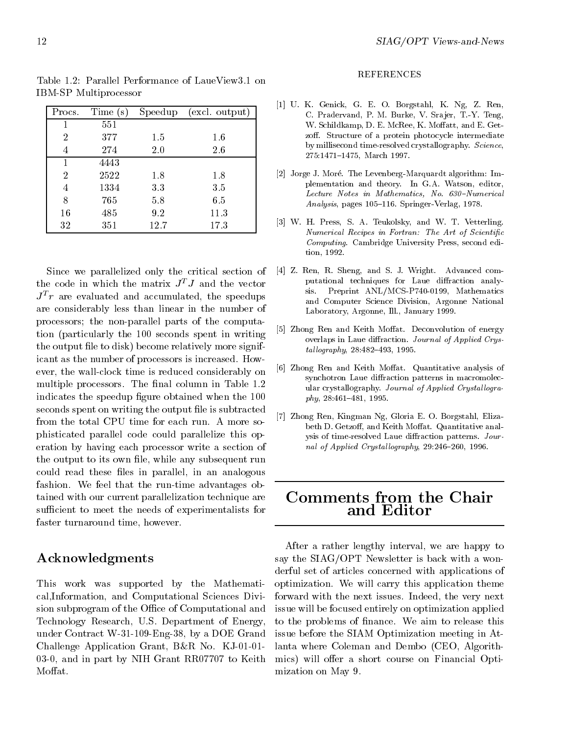| Procs.         | Time(s) | Speedup | (excl. output) |
|----------------|---------|---------|----------------|
| 1              | 551     |         |                |
| $\overline{2}$ | 377     | 1.5     | $1.6\,$        |
| 4              | 274     | 2.0     | 2.6            |
| 1              | 4443    |         |                |
| $\overline{2}$ | 2522    | 1.8     | 1.8            |
| 4              | 1334    | 3.3     | 3.5            |
| 8              | 765     | 5.8     | 6.5            |
| 16             | 485     | 9.2     | 11.3           |
| 32             | 351     | 12.7    | 17.3           |

Table 1.2: Parallel Performance of LaueView3.1 on IBM-SP Multiprocessor

Since we parallelized only the critical section of the code in which the matrix  $J^TJ$  and the vector  $J^*r$  are evaluated and accumulated, the speedups are considerably less than linear in the number of processors; the non-parallel parts of the computation (particularly the 100 seconds spent in writing the output file to disk) become relatively more significant as the number of processors is increased. However, the wall-clock time is reduced considerably on multiple processors. The final column in Table 1.2 indicates the speedup figure obtained when the 100 seconds spent on writing the output file is subtracted from the total CPU time for each run. A more sophisticated parallel code could parallelize this operation by having each processor write a section of the output to its own file, while any subsequent run could read these files in parallel, in an analogous fashion. We feel that the run-time advantages obtained with our current parallelization technique are sufficient to meet the needs of experimentalists for faster turnaround time, however.

# Acknowledgments

This work was supported by the Mathematical,Information, and Computational Sciences Division subprogram of the Office of Computational and Technology Research, U.S. Department of Energy, under Contract W-31-109-Eng-38, by a DOE Grand Challenge Application Grant, B&R No. KJ-01-01- 03-0, and in part by NIH Grant RR07707 to Keith Moffat.

#### REFERENCES

- [1] U. K. Genick, G. E. O. Borgstahl, K. Ng, Z. Ren, C. Pradervand, P. M. Burke, V. Sra jer, T.-Y. Teng, W. Schildkamp, D. E. McRee, K. Moffatt, and E. Getzoff. Structure of a protein photocycle intermediate by millisecond time-resolved crystallography. Science, 275:1471-1475, March 1997.
- [2] Jorge J. Moré. The Levenberg-Marquardt algorithm: Implementation and theory. In G.A. Watson, editor, Lecture Notes in Mathematics, No.  $630$ -Numerical Analysis, pages 105-116. Springer-Verlag, 1978.
- [3] W. H. Press, S. A. Teukolsky, and W. T. Vetterling. Numerical Recipes in Fortran: The Art of Scientific Computing. Cambridge University Press, second edition, 1992.
- [4] Z. Ren, R. Sheng, and S. J. Wright. Advanced com putational techniques for Laue diffraction analysis. Preprint ANL/MCS-P740-0199, Mathematics and Computer Science Division, Argonne National Laboratory, Argonne, Ill., January 1999.
- [5] Zhong Ren and Keith Moffat. Deconvolution of energy overlaps in Laue diffraction. Journal of Applied Crys $tallography, 28:482–493, 1995.$
- [6] Zhong Ren and Keith Moffat. Quantitative analysis of synchotron Laue diffraction patterns in macromolecular crystallography. Journal of Applied Crystallogra $phy, 28:461–481, 1995.$
- [7] Zhong Ren, Kingman Ng, Gloria E. O. Borgstahl, Elizabeth D. Getzoff, and Keith Moffat. Quantitative analysis of time-resolved Laue diffraction patterns. Journal of Applied Crystallography,  $29:246-260$ , 1996.

# Comments from the Chair and Editor

After a rather lengthy interval, we are happy to say the SIAG/OPT Newsletter is back with a wonderful set of articles concerned with applications of optimization. We will carry this application theme forward with the next issues. Indeed, the very next issue will be focused entirely on optimization applied to the problems of finance. We aim to release this issue before the SIAM Optimization meeting in Atlanta where Coleman and Dembo (CEO, Algorithmics) will offer a short course on Financial Optimization on May 9.